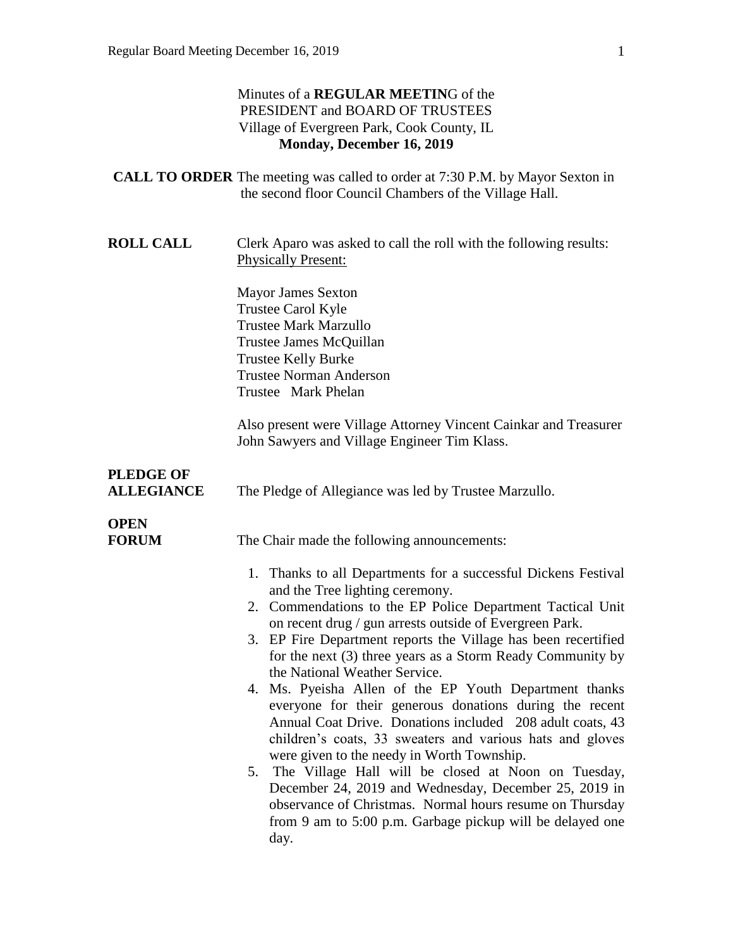| Minutes of a <b>REGULAR MEETING</b> of the |
|--------------------------------------------|
| PRESIDENT and BOARD OF TRUSTEES            |
| Village of Evergreen Park, Cook County, IL |
| Monday, December 16, 2019                  |

- **CALL TO ORDER** The meeting was called to order at 7:30 P.M. by Mayor Sexton in the second floor Council Chambers of the Village Hall.
- **ROLL CALL** Clerk Aparo was asked to call the roll with the following results: Physically Present:

Mayor James Sexton Trustee Carol Kyle Trustee Mark Marzullo Trustee James McQuillan Trustee Kelly Burke Trustee Norman Anderson Trustee Mark Phelan

Also present were Village Attorney Vincent Cainkar and Treasurer John Sawyers and Village Engineer Tim Klass.

# **PLEDGE OF**

**ALLEGIANCE** The Pledge of Allegiance was led by Trustee Marzullo.

# **OPEN**

**FORUM** The Chair made the following announcements:

- 1. Thanks to all Departments for a successful Dickens Festival and the Tree lighting ceremony.
- 2. Commendations to the EP Police Department Tactical Unit on recent drug / gun arrests outside of Evergreen Park.
- 3. EP Fire Department reports the Village has been recertified for the next (3) three years as a Storm Ready Community by the National Weather Service.
- 4. Ms. Pyeisha Allen of the EP Youth Department thanks everyone for their generous donations during the recent Annual Coat Drive. Donations included 208 adult coats, 43 children's coats, 33 sweaters and various hats and gloves were given to the needy in Worth Township.
- 5. The Village Hall will be closed at Noon on Tuesday, December 24, 2019 and Wednesday, December 25, 2019 in observance of Christmas. Normal hours resume on Thursday from 9 am to 5:00 p.m. Garbage pickup will be delayed one day.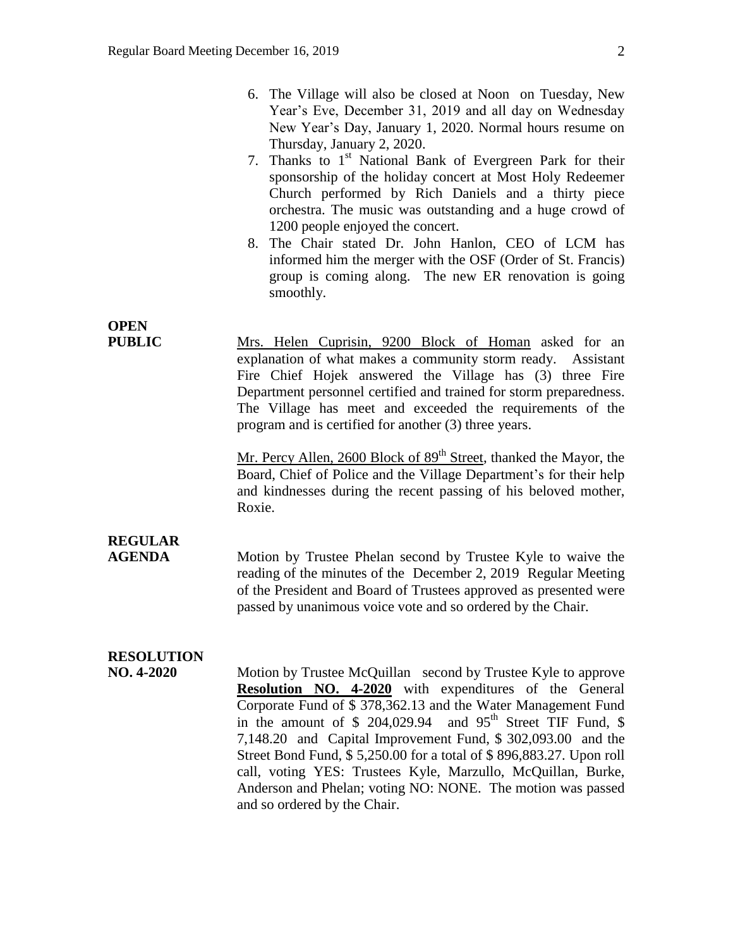- 6. The Village will also be closed at Noon on Tuesday, New Year's Eve, December 31, 2019 and all day on Wednesday New Year's Day, January 1, 2020. Normal hours resume on Thursday, January 2, 2020.
- 7. Thanks to  $1<sup>st</sup>$  National Bank of Evergreen Park for their sponsorship of the holiday concert at Most Holy Redeemer Church performed by Rich Daniels and a thirty piece orchestra. The music was outstanding and a huge crowd of 1200 people enjoyed the concert.
- 8. The Chair stated Dr. John Hanlon, CEO of LCM has informed him the merger with the OSF (Order of St. Francis) group is coming along. The new ER renovation is going smoothly.

## **OPEN**

**PUBLIC** Mrs. Helen Cuprisin, 9200 Block of Homan asked for an explanation of what makes a community storm ready. Assistant Fire Chief Hojek answered the Village has (3) three Fire Department personnel certified and trained for storm preparedness. The Village has meet and exceeded the requirements of the program and is certified for another (3) three years.

> Mr. Percy Allen, 2600 Block of 89<sup>th</sup> Street, thanked the Mayor, the Board, Chief of Police and the Village Department's for their help and kindnesses during the recent passing of his beloved mother, Roxie.

### **REGULAR**

**AGENDA** Motion by Trustee Phelan second by Trustee Kyle to waive the reading of the minutes of the December 2, 2019 Regular Meeting of the President and Board of Trustees approved as presented were passed by unanimous voice vote and so ordered by the Chair.

### **RESOLUTION**

**NO. 4-2020** Motion by Trustee McQuillan second by Trustee Kyle to approve **Resolution NO. 4-2020** with expenditures of the General Corporate Fund of \$ 378,362.13 and the Water Management Fund in the amount of  $$204,029.94$  and  $95<sup>th</sup>$  Street TIF Fund,  $$$ 7,148.20 and Capital Improvement Fund, \$ 302,093.00 and the Street Bond Fund, \$ 5,250.00 for a total of \$ 896,883.27. Upon roll call, voting YES: Trustees Kyle, Marzullo, McQuillan, Burke, Anderson and Phelan; voting NO: NONE. The motion was passed and so ordered by the Chair.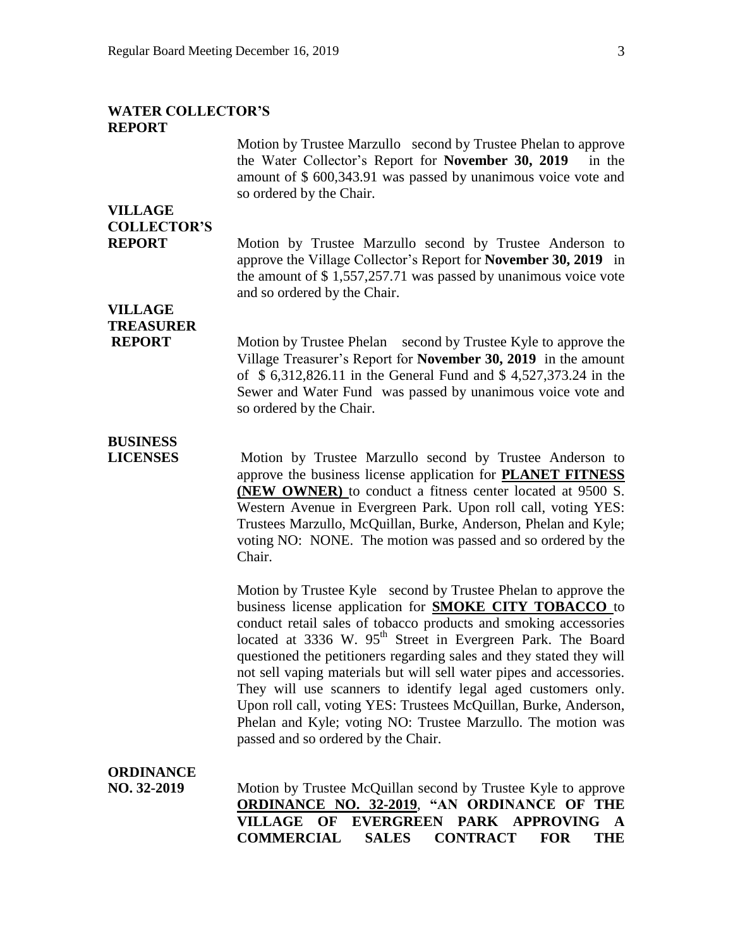#### **WATER COLLECTOR'S REPORT**

Motion by Trustee Marzullo second by Trustee Phelan to approve the Water Collector's Report for **November 30, 2019** in the amount of \$ 600,343.91 was passed by unanimous voice vote and so ordered by the Chair.

### **VILLAGE COLLECTOR'S**

**REPORT** Motion by Trustee Marzullo second by Trustee Anderson to approve the Village Collector's Report for **November 30, 2019** in the amount of \$ 1,557,257.71 was passed by unanimous voice vote and so ordered by the Chair.

## **VILLAGE TREASURER**

**REPORT** Motion by Trustee Phelan second by Trustee Kyle to approve the Village Treasurer's Report for **November 30, 2019** in the amount of \$ 6,312,826.11 in the General Fund and \$ 4,527,373.24 in the Sewer and Water Fund was passed by unanimous voice vote and so ordered by the Chair.

# **BUSINESS**

**LICENSES** Motion by Trustee Marzullo second by Trustee Anderson to approve the business license application for **PLANET FITNESS (NEW OWNER)** to conduct a fitness center located at 9500 S. Western Avenue in Evergreen Park. Upon roll call, voting YES: Trustees Marzullo, McQuillan, Burke, Anderson, Phelan and Kyle; voting NO: NONE. The motion was passed and so ordered by the Chair.

> Motion by Trustee Kyle second by Trustee Phelan to approve the business license application for **SMOKE CITY TOBACCO** to conduct retail sales of tobacco products and smoking accessories located at 3336 W. 95<sup>th</sup> Street in Evergreen Park. The Board questioned the petitioners regarding sales and they stated they will not sell vaping materials but will sell water pipes and accessories. They will use scanners to identify legal aged customers only. Upon roll call, voting YES: Trustees McQuillan, Burke, Anderson, Phelan and Kyle; voting NO: Trustee Marzullo. The motion was passed and so ordered by the Chair.

#### **ORDINANCE NO. 32-2019** Motion by Trustee McQuillan second by Trustee Kyle to approve **ORDINANCE NO. 32-2019**, **"AN ORDINANCE OF THE VILLAGE OF EVERGREEN PARK APPROVING A COMMERCIAL SALES CONTRACT FOR THE**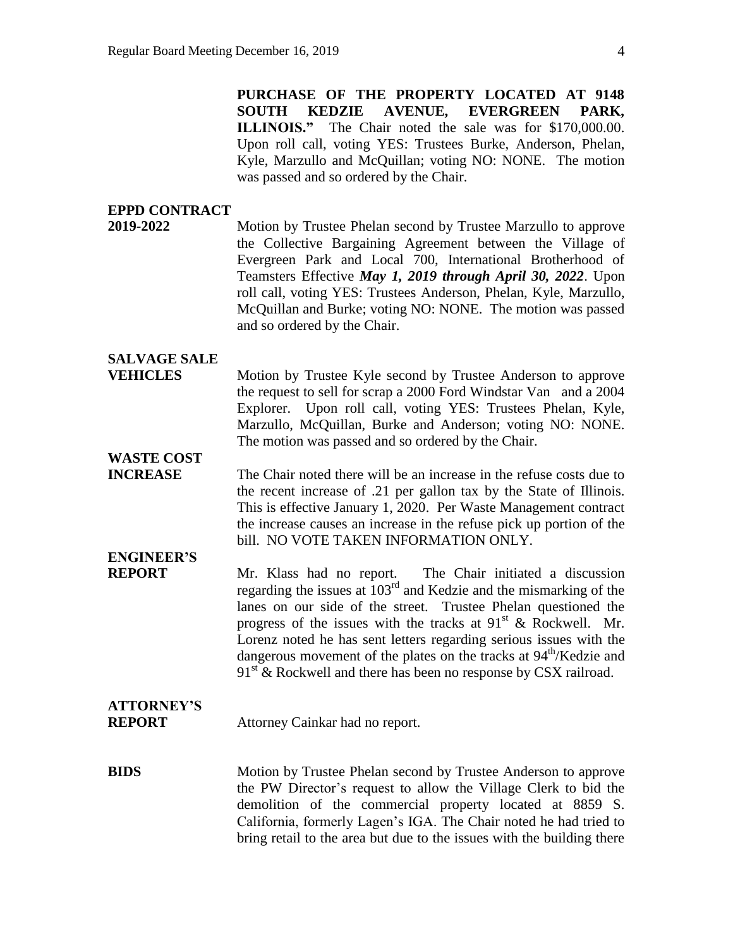**PURCHASE OF THE PROPERTY LOCATED AT 9148 SOUTH KEDZIE AVENUE, EVERGREEN PARK, ILLINOIS."** The Chair noted the sale was for \$170,000.00. Upon roll call, voting YES: Trustees Burke, Anderson, Phelan, Kyle, Marzullo and McQuillan; voting NO: NONE. The motion was passed and so ordered by the Chair.

#### **EPPD CONTRACT**

**2019-2022** Motion by Trustee Phelan second by Trustee Marzullo to approve the Collective Bargaining Agreement between the Village of Evergreen Park and Local 700, International Brotherhood of Teamsters Effective *May 1, 2019 through April 30, 2022*. Upon roll call, voting YES: Trustees Anderson, Phelan, Kyle, Marzullo, McQuillan and Burke; voting NO: NONE. The motion was passed and so ordered by the Chair.

### **SALVAGE SALE**

**VEHICLES** Motion by Trustee Kyle second by Trustee Anderson to approve the request to sell for scrap a 2000 Ford Windstar Van and a 2004 Explorer. Upon roll call, voting YES: Trustees Phelan, Kyle, Marzullo, McQuillan, Burke and Anderson; voting NO: NONE. The motion was passed and so ordered by the Chair.

## **WASTE COST**

**INCREASE** The Chair noted there will be an increase in the refuse costs due to the recent increase of .21 per gallon tax by the State of Illinois. This is effective January 1, 2020. Per Waste Management contract the increase causes an increase in the refuse pick up portion of the bill. NO VOTE TAKEN INFORMATION ONLY.

# **ENGINEER'S**

**REPORT** Mr. Klass had no report. The Chair initiated a discussion regarding the issues at 103rd and Kedzie and the mismarking of the lanes on our side of the street. Trustee Phelan questioned the progress of the issues with the tracks at  $91<sup>st</sup>$  & Rockwell. Mr. Lorenz noted he has sent letters regarding serious issues with the dangerous movement of the plates on the tracks at 94<sup>th</sup>/Kedzie and  $91<sup>st</sup>$  & Rockwell and there has been no response by CSX railroad.

## **ATTORNEY'S**

**REPORT** Attorney Cainkar had no report.

**BIDS** Motion by Trustee Phelan second by Trustee Anderson to approve the PW Director's request to allow the Village Clerk to bid the demolition of the commercial property located at 8859 S. California, formerly Lagen's IGA. The Chair noted he had tried to bring retail to the area but due to the issues with the building there